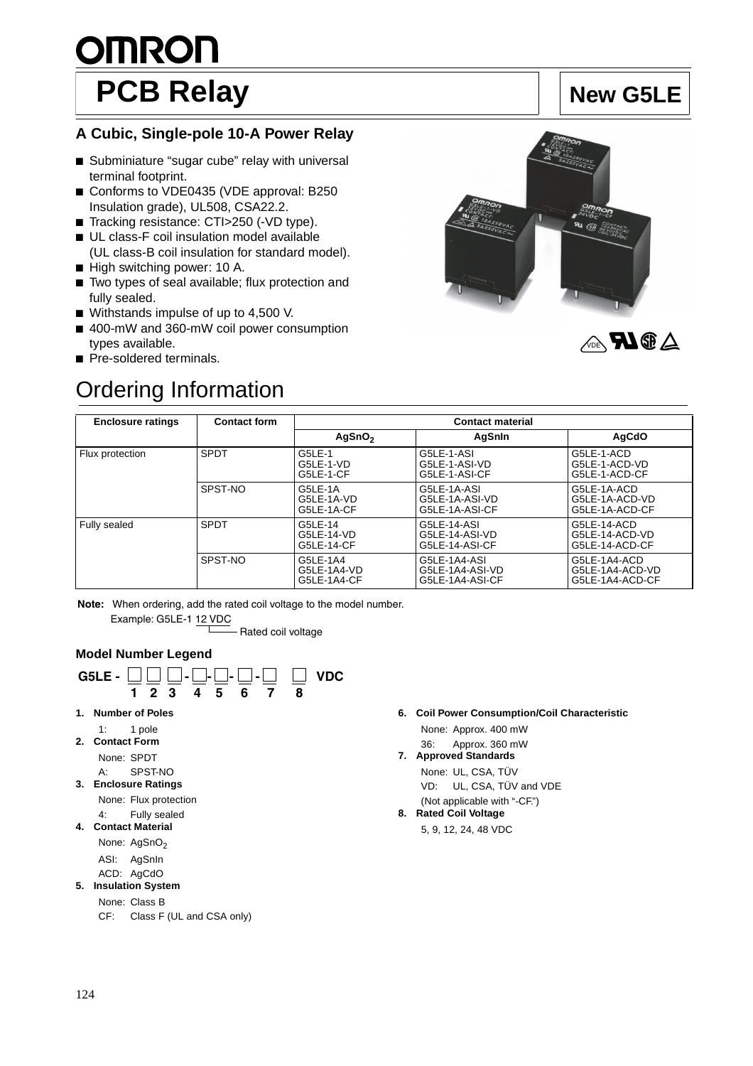# <u>OMRON</u> **PCB Relay** New G5LE

### **A Cubic, Single-pole 10-A Power Relay**

- Subminiature "sugar cube" relay with universal terminal footprint.
- Conforms to VDE0435 (VDE approval: B250 Insulation grade), UL508, CSA22.2.
- Tracking resistance: CTI>250 (-VD type).
- UL class-F coil insulation model available (UL class-B coil insulation for standard model).
- High switching power: 10 A.
- Two types of seal available; flux protection and fully sealed.
- Withstands impulse of up to 4,500 V.
- 400-mW and 360-mW coil power consumption types available.
- Pre-soldered terminals.

## Ordering Information

| <b>Enclosure ratings</b> | <b>Contact form</b> | <b>Contact material</b>                |                                                    |                                                    |  |
|--------------------------|---------------------|----------------------------------------|----------------------------------------------------|----------------------------------------------------|--|
|                          |                     | AgSnO <sub>2</sub>                     | AgSnin                                             | AgCdO                                              |  |
| Flux protection          | <b>SPDT</b>         | G5LE-1<br>G5LE-1-VD<br>G5LE-1-CF       | G5LE-1-ASI<br>G5LE-1-ASI-VD<br>G5LE-1-ASI-CF       | G5LE-1-ACD<br>G5LE-1-ACD-VD<br>G5LE-1-ACD-CF       |  |
|                          | SPST-NO             | G5LE-1A<br>G5LE-1A-VD<br>G5LE-1A-CF    | G5LE-1A-ASI<br>G5LE-1A-ASI-VD<br>G5LE-1A-ASI-CF    | G5LE-1A-ACD<br>G5LE-1A-ACD-VD<br>G5LE-1A-ACD-CF    |  |
| Fully sealed             | <b>SPDT</b>         | G5LE-14<br>G5LE-14-VD<br>G5LE-14-CF    | G5LE-14-ASI<br>G5LE-14-ASI-VD<br>G5LE-14-ASI-CF    | G5LE-14-ACD<br>G5LE-14-ACD-VD<br>G5LE-14-ACD-CF    |  |
|                          | SPST-NO             | G5LE-1A4<br>G5LE-1A4-VD<br>G5LE-1A4-CF | G5LE-1A4-ASI<br>G5LE-1A4-ASI-VD<br>G5LE-1A4-ASI-CF | G5LE-1A4-ACD<br>G5LE-1A4-ACD-VD<br>G5LE-1A4-ACD-CF |  |

**Note:** When ordering, add the rated coil voltage to the model number. Example: G5LE-1 12 VDC

- Rated coil voltage

#### **Model Number Legend**



- **5. Insulation System**
	- None: Class B
	- CF: Class F (UL and CSA only)

**6. Coil Power Consumption/Coil Characteristic** None: Approx. 400 mW

36: Approx. 360 mW

- **7. Approved Standards** None: UL, CSA, TÜV VD: UL, CSA, TÜV and VDE
	- (Not applicable with "-CF.")

#### **8. Rated Coil Voltage**

5, 9, 12, 24, 48 VDC



 $\mathcal{A}\oplus\mathbf{M}$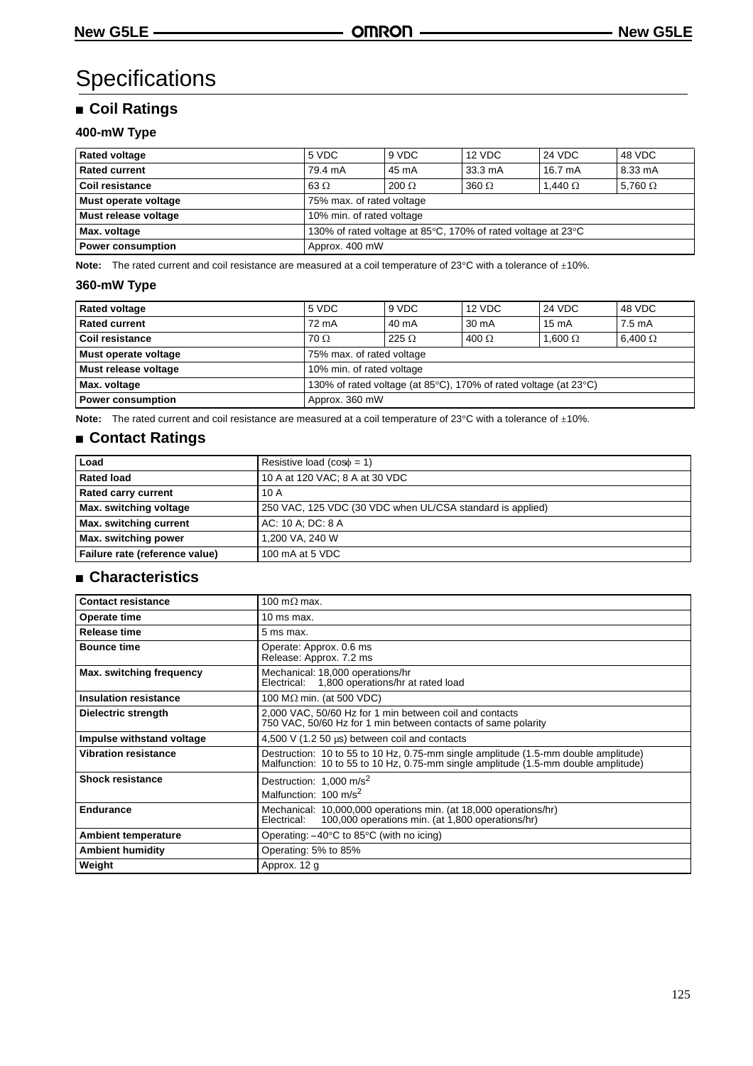### **Specifications**

#### ■ **Coil Ratings**

#### **400-mW Type**

| <b>Rated voltage</b>     | 5 VDC                                                                            | 9 VDC        | 12 VDC            | 24 VDC            | 48 VDC         |
|--------------------------|----------------------------------------------------------------------------------|--------------|-------------------|-------------------|----------------|
| <b>Rated current</b>     | 79.4 mA                                                                          | 45 mA        | $33.3 \text{ mA}$ | $16.7 \text{ mA}$ | 8.33 mA        |
| Coil resistance          | $63 \Omega$                                                                      | $200 \Omega$ | $360 \Omega$      | 1.440 $\Omega$    | 5.760 $\Omega$ |
| Must operate voltage     | 75% max. of rated voltage                                                        |              |                   |                   |                |
| Must release voltage     | 10% min. of rated voltage                                                        |              |                   |                   |                |
| Max. voltage             | 130% of rated voltage at 85 $\degree$ C, 170% of rated voltage at 23 $\degree$ C |              |                   |                   |                |
| <b>Power consumption</b> | Approx. 400 mW                                                                   |              |                   |                   |                |

Note: The rated current and coil resistance are measured at a coil temperature of 23°C with a tolerance of ±10%.

#### **360-mW Type**

| <b>Rated voltage</b>     | 5 VDC                                                                                | 9 VDC        | 12 VDC       | <b>24 VDC</b>   | 48 VDC           |
|--------------------------|--------------------------------------------------------------------------------------|--------------|--------------|-----------------|------------------|
| <b>Rated current</b>     | 72 mA                                                                                | 40 mA        | 30 mA        | $15 \text{ mA}$ | $7.5 \text{ mA}$ |
| Coil resistance          | $70 \Omega$                                                                          | 225 $\Omega$ | $400 \Omega$ | 1.600 $\Omega$  | $6,400 \Omega$   |
| Must operate voltage     | 75% max. of rated voltage                                                            |              |              |                 |                  |
| Must release voltage     | 10% min. of rated voltage                                                            |              |              |                 |                  |
| Max. voltage             | 130% of rated voltage (at $85^{\circ}$ C), 170% of rated voltage (at $23^{\circ}$ C) |              |              |                 |                  |
| <b>Power consumption</b> | Approx. 360 mW                                                                       |              |              |                 |                  |

**Note:** The rated current and coil resistance are measured at a coil temperature of 23°C with a tolerance of ±10%.

### ■ **Contact Ratings**

| Load                           | Resistive load $(cos\phi = 1)$                            |  |
|--------------------------------|-----------------------------------------------------------|--|
| <b>Rated load</b>              | 10 A at 120 VAC; 8 A at 30 VDC                            |  |
| <b>Rated carry current</b>     | 10 A                                                      |  |
| Max. switching voltage         | 250 VAC, 125 VDC (30 VDC when UL/CSA standard is applied) |  |
| Max. switching current         | AC: 10 A; DC: 8 A                                         |  |
| Max. switching power           | 1.200 VA. 240 W                                           |  |
| Failure rate (reference value) | 100 mA at 5 VDC                                           |  |

#### ■ **Characteristics**

| <b>Contact resistance</b>                                                                                                                                                                               | 100 m $\Omega$ max.                                                                                                      |  |
|---------------------------------------------------------------------------------------------------------------------------------------------------------------------------------------------------------|--------------------------------------------------------------------------------------------------------------------------|--|
| Operate time                                                                                                                                                                                            | $10$ ms max.                                                                                                             |  |
| Release time                                                                                                                                                                                            | 5 ms max.                                                                                                                |  |
| <b>Bounce time</b>                                                                                                                                                                                      | Operate: Approx. 0.6 ms<br>Release: Approx. 7.2 ms                                                                       |  |
| Max. switching frequency                                                                                                                                                                                | Mechanical: 18,000 operations/hr<br>Electrical: 1,800 operations/hr at rated load                                        |  |
| <b>Insulation resistance</b>                                                                                                                                                                            | 100 M $\Omega$ min. (at 500 VDC)                                                                                         |  |
| Dielectric strength                                                                                                                                                                                     | 2,000 VAC, 50/60 Hz for 1 min between coil and contacts<br>750 VAC, 50/60 Hz for 1 min between contacts of same polarity |  |
| Impulse withstand voltage                                                                                                                                                                               | 4,500 V (1.2 50 µs) between coil and contacts                                                                            |  |
| <b>Vibration resistance</b><br>Destruction: 10 to 55 to 10 Hz, 0.75-mm single amplitude (1.5-mm double amplitude)<br>Malfunction: 10 to 55 to 10 Hz, 0.75-mm single amplitude (1.5-mm double amplitude) |                                                                                                                          |  |
| <b>Shock resistance</b><br>Destruction: 1,000 m/s <sup>2</sup><br>Malfunction: 100 m/s <sup>2</sup>                                                                                                     |                                                                                                                          |  |
| Endurance<br>Mechanical: 10,000,000 operations min. (at 18,000 operations/hr)<br>100,000 operations min. (at 1,800 operations/hr)<br>Electrical:                                                        |                                                                                                                          |  |
| <b>Ambient temperature</b>                                                                                                                                                                              | Operating: $-40^{\circ}$ C to 85 $^{\circ}$ C (with no icing)                                                            |  |
| <b>Ambient humidity</b>                                                                                                                                                                                 | Operating: 5% to 85%                                                                                                     |  |
| Weight                                                                                                                                                                                                  | Approx. 12 g                                                                                                             |  |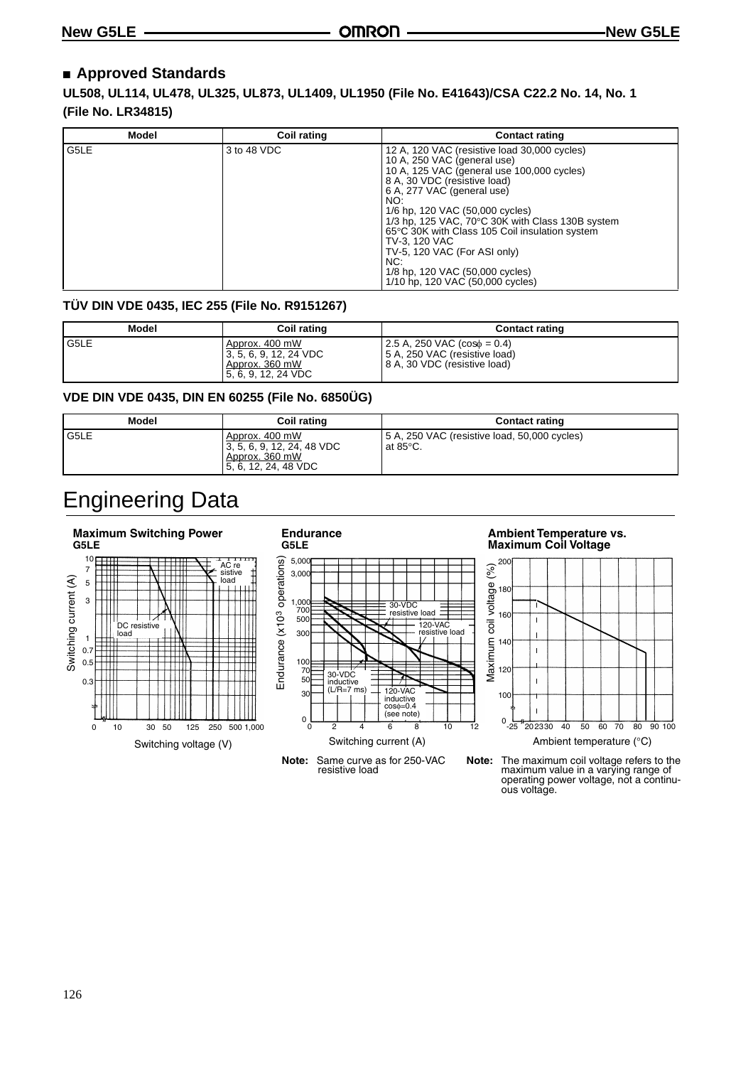#### ■ **Approved Standards**

**UL508, UL114, UL478, UL325, UL873, UL1409, UL1950 (File No. E41643)/CSA C22.2 No. 14, No. 1 (File No. LR34815)**

| Model | Coil rating | <b>Contact rating</b>                                                                                                                                                                                                                                                                                                                                                                                                                                                            |
|-------|-------------|----------------------------------------------------------------------------------------------------------------------------------------------------------------------------------------------------------------------------------------------------------------------------------------------------------------------------------------------------------------------------------------------------------------------------------------------------------------------------------|
| G5LE  | 3 to 48 VDC | 12 A, 120 VAC (resistive load 30,000 cycles)<br>10 A, 250 VAC (general use)<br>10 A, 125 VAC (general use 100,000 cycles)<br>8 A, 30 VDC (resistive load)<br>6 A, 277 VAC (general use)<br>NO:<br>1/6 hp, 120 VAC (50,000 cycles)<br>1/3 hp, 125 VAC, $70^{\circ}$ C 30K with Class 130B system<br>65°C 30K with Class 105 Coil insulation system<br>TV-3, 120 VAC<br>TV-5, 120 VAC (For ASI only)<br>NC:<br>1/8 hp, 120 VAC (50,000 cycles)<br>1/10 hp, 120 VAC (50,000 cycles) |

#### **TÜV DIN VDE 0435, IEC 255 (File No. R9151267)**

| <b>Model</b> | Coil rating                                                                                   | <b>Contact rating</b>                                                                             |
|--------------|-----------------------------------------------------------------------------------------------|---------------------------------------------------------------------------------------------------|
| G5LE         | Approx. 400 mW<br>$13, 5, 6, 9, 12, 24 \text{ VDC}$<br>Approx. 360 mW<br>15, 6, 9, 12, 24 VDC | 2.5 A, 250 VAC $(cos\phi = 0.4)$<br>5 A, 250 VAC (resistive load)<br>8 A, 30 VDC (resistive load) |

#### **VDE DIN VDE 0435, DIN EN 60255 (File No. 6850ÜG)**

| Model | Coil rating                                                                            | <b>Contact rating</b>                                              |
|-------|----------------------------------------------------------------------------------------|--------------------------------------------------------------------|
| G5LE  | Approx. 400 mW<br>3, 5, 6, 9, 12, 24, 48 VDC<br>Approx. 360 mW<br>5, 6, 12, 24, 48 VDC | 5 A, 250 VAC (resistive load, 50,000 cycles)<br>at $85^{\circ}$ C. |

### Engineering Data